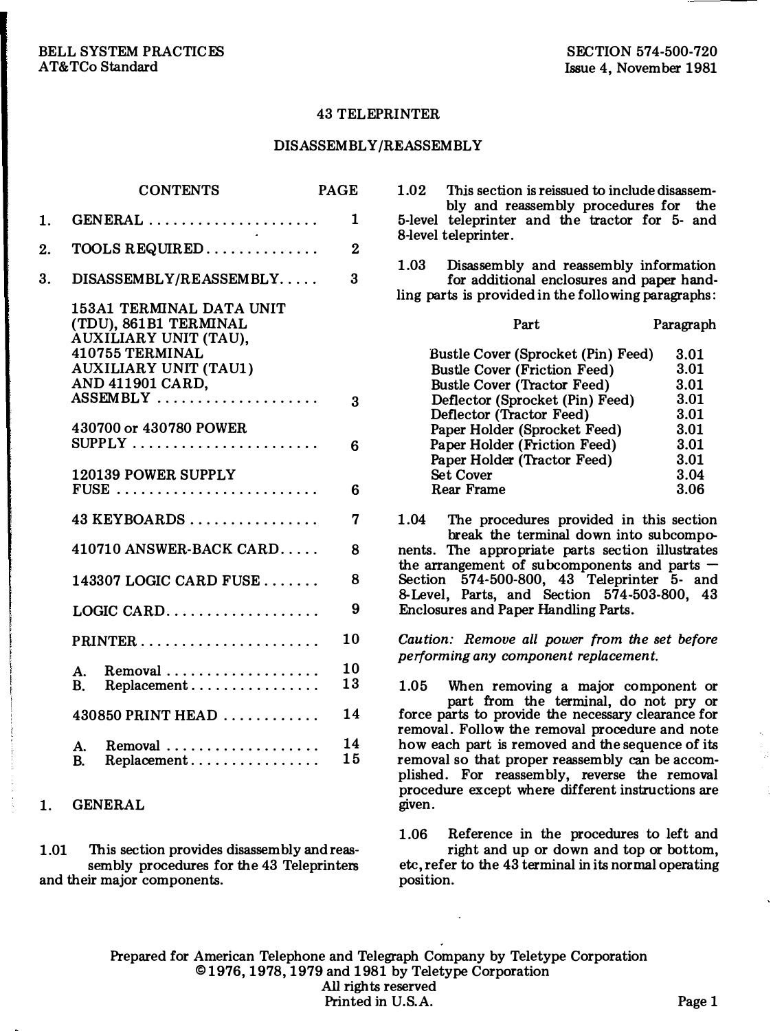#### 43 TELEPRINTER

### DIS ASSEMBLY/REASSEMBLY

|    | <b>CONTENTS</b>                                                                                                                                               | PAGE     |
|----|---------------------------------------------------------------------------------------------------------------------------------------------------------------|----------|
| 1. | GENERAL<br><b>College</b>                                                                                                                                     | 1        |
| 2. | TOOLS REQUIRED                                                                                                                                                | $\bf{2}$ |
| 3. | DISASSEMBLY/REASSEMBLY                                                                                                                                        | 3        |
|    | 153A1 TERMINAL DATA UNIT<br>(TDU), 861B1 TERMINAL<br>AUXILIARY UNIT (TAU),<br>410755 TERMINAL<br><b>AUXILIARY UNIT (TAU1)</b><br>AND 411901 CARD,<br>ASSEMBLY | 3        |
|    | 430700 or 430780 POWER<br>$\texttt{SUPPLY}$                                                                                                                   | 6        |
|    | 120139 POWER SUPPLY<br>$FUSE$                                                                                                                                 | 6        |
|    | $43$ KEYBOARDS                                                                                                                                                | 7        |
|    | 410710 ANSWER-BACK CARD                                                                                                                                       | 8        |
|    | $143307$ LOGIC CARD FUSE                                                                                                                                      | 8        |
|    | $LOGIC \, CARD. \ldots \ldots \ldots \ldots \ldots$                                                                                                           | 9        |
|    | $PRINTER \ldots \ldots \ldots \ldots \ldots \ldots$                                                                                                           | 10       |
|    | Removal<br>A.<br>Replacement<br>B.                                                                                                                            | 10<br>13 |
|    | 430850 PRINT HEAD                                                                                                                                             | 14       |
|    | $Removal \dots \dots \dots \dots \dots \dots \dots$<br>$\mathbf{A}$ .<br>Replacement<br>B.                                                                    | 14<br>15 |

## 1. GENERAL

1.01 This section provides disassembly and reassembly procedures for the 43 Teleprinters and their major components.

1.02 This section is reissued to include disassembly and reassembly procedures for the 5-level teleprinter and the tractor for 5- and 8-level teleprinter.

1.03 Disassembly and reassembly information for additional enclosures and paper handling parts is provided in the following paragraphs:

| Part                                | Paragraph |  |
|-------------------------------------|-----------|--|
| Bustle Cover (Sprocket (Pin) Feed)  | 3.01      |  |
| <b>Bustle Cover (Friction Feed)</b> | 3.01      |  |
| <b>Bustle Cover (Tractor Feed)</b>  | 3.01      |  |
| Deflector (Sprocket (Pin) Feed)     | 3.01      |  |
| Deflector (Tractor Feed)            | 3.01      |  |
| Paper Holder (Sprocket Feed)        | 3.01      |  |
| Paper Holder (Friction Feed)        | 3.01      |  |
| Paper Holder (Tractor Feed)         | 3.01      |  |
| <b>Set Cover</b>                    | 3.04      |  |
| Rear Frame                          | 3.06      |  |

1.04 The procedures provided in this section break the terminal down into subcomponents. The appropriate parts section illustrates the arrangement of subcomponents and parts  $-$ Section 574-500-800, 43 Teleprinter 5- and 8-Level, Parts, and Section 574-503 -800, 43 Enclosures and Paper Handling Parts.

Caution: Remove all power from the set before performing any component replacement.

1.05 When removing a major component or part from the terminal, do not pry or force parts to provide the necessary clearance for removal. Follow the removal procedure and note how each part is removed and the sequence of its removal so that proper reassembly can be accomplished. For reassembly, reverse the removal procedure except where different instructions are given.

1.06 Reference in the procedures to left and right and up or down and top or bottom, etc, refer to the 43 terminal in its normal operating position.

Prepared for American Telephone and Telegraph Company by Teletype Corporation ©1976, 1978, 1979 and 1981 by Teletype Corporation All rights reserved Printed in U.S.A. Page 1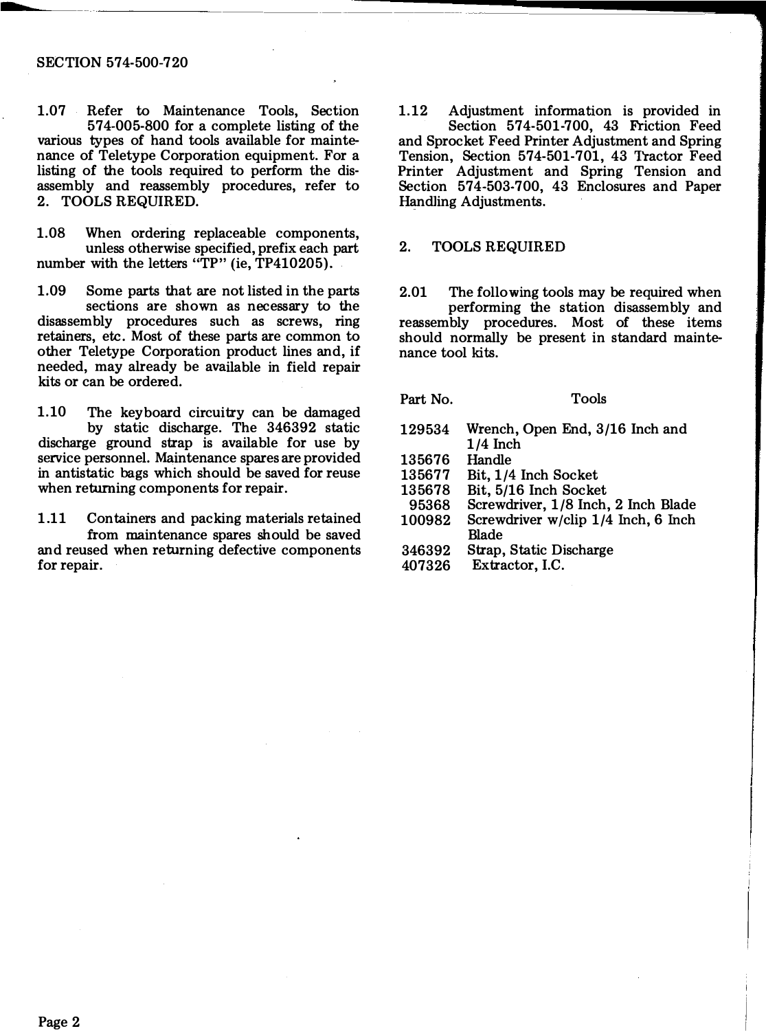#### SECTION 574-500-720

1.07 Refer to Maintenance Tools, Section 574-005-800 for a complete listing of the various types of hand tools available for maintenance of Teletype Corporation equipment. For a listing of the tools required to perform the disassembly and reassembly procedures, refer to 2. TOOLS REQUIRED.

1.08 When ordering replaceable components, unless otherwise specified, prefix each part number with the letters "TP" (ie, TP410205).

1.09 Some parts that are not listed in the parts sections are shown as necessary to the disassembly procedures such as screws, ring retainers, etc. Most of these parts are common to other Teletype Corporation product lines and, if needed, may already be available in field repair kits or can be ordered.

1.10 The keyboard circuitry can be damaged by static discharge. The 346392 static discharge ground strap is available for use by service personnel. Maintenance spares are provided in antistatic bags which should be saved for reuse when returning components for repair.

1.11 Containers and packing materials retained from maintenance spares should be saved and reused when returning defective components for repair.

1.12 Adjustment information is provided in Section 574-501-700, 43 Friction Feed and Sprocket Feed Printer Adjustment and Spring Tension, Section 574-501-701, 43 Tractor Feed Printer Adjustment and Spring Tension and Section 574-503-700, 43 Enclosures and Paper Handling Adjustments.

### 2. TOOLS REQUIRED

2.01 The following tools may be required when performing the station disassembly and reassembly procedures. Most of these items should normally be present in standard maintenance tool kits.

Part No.

Tools

- 129534 135676 135677 Wrench, Open End, 3/16 Inch and 1/4 Inch Handle Bit, 1/4 Inch Socket
- 135678 Bit, 5/16 Inch Socket
- 95368 Screwdriver, 1/8 Inch, 2 Inch Blade
- 100982 Screwdriver w/clip  $1/4$  Inch, 6 Inch
- Blade
- 346392 Strap, Static Discharge
- 407326 Extractor, I.C.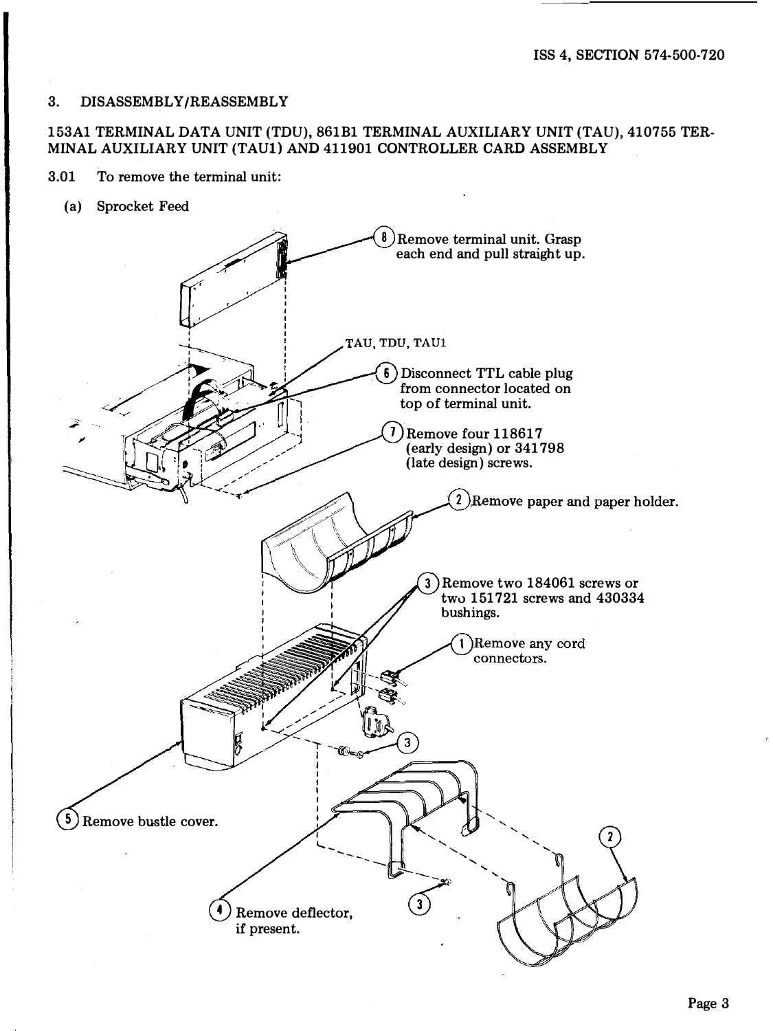### 3. DISASSEMBLY/REASSEMBLY

## 153A1 TERMINAL DATA UNIT (TDU), 861B1 TERMINAL AUXILIARY UNIT (TAU), 410755 TER-MINAL AUXILIARY UNIT (TAU1) AND 411901 CONTROLLER CARD ASSEMBLY

- 3.01 To remove the terminal unit:
	- (a) Sprocket Feed

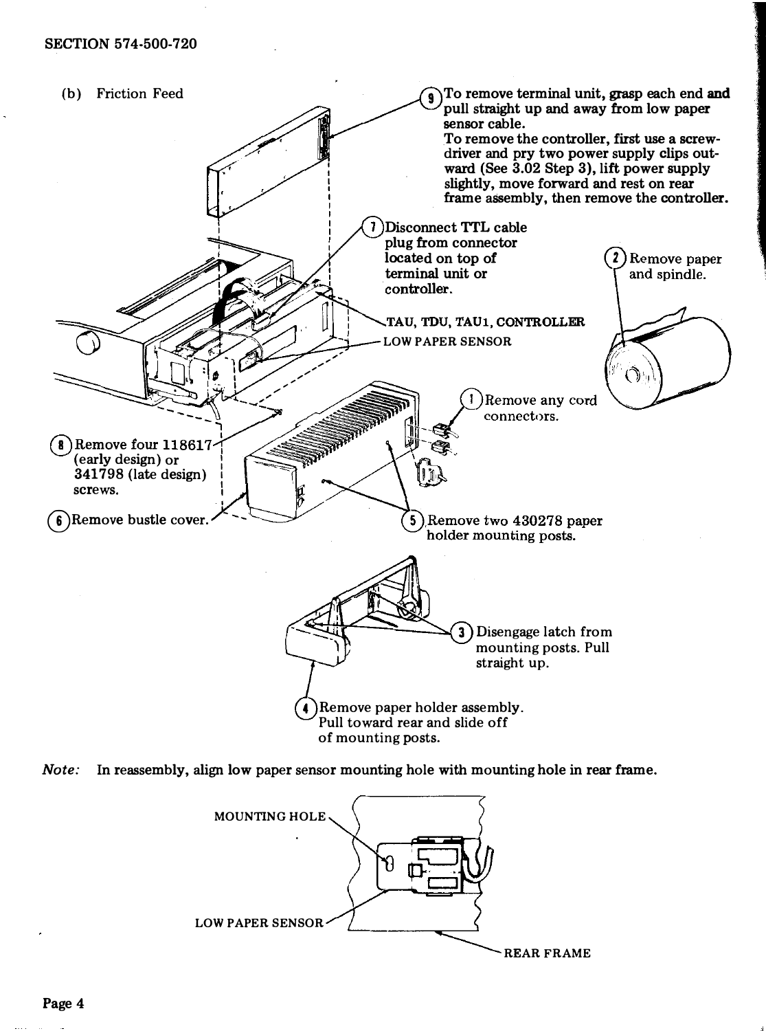



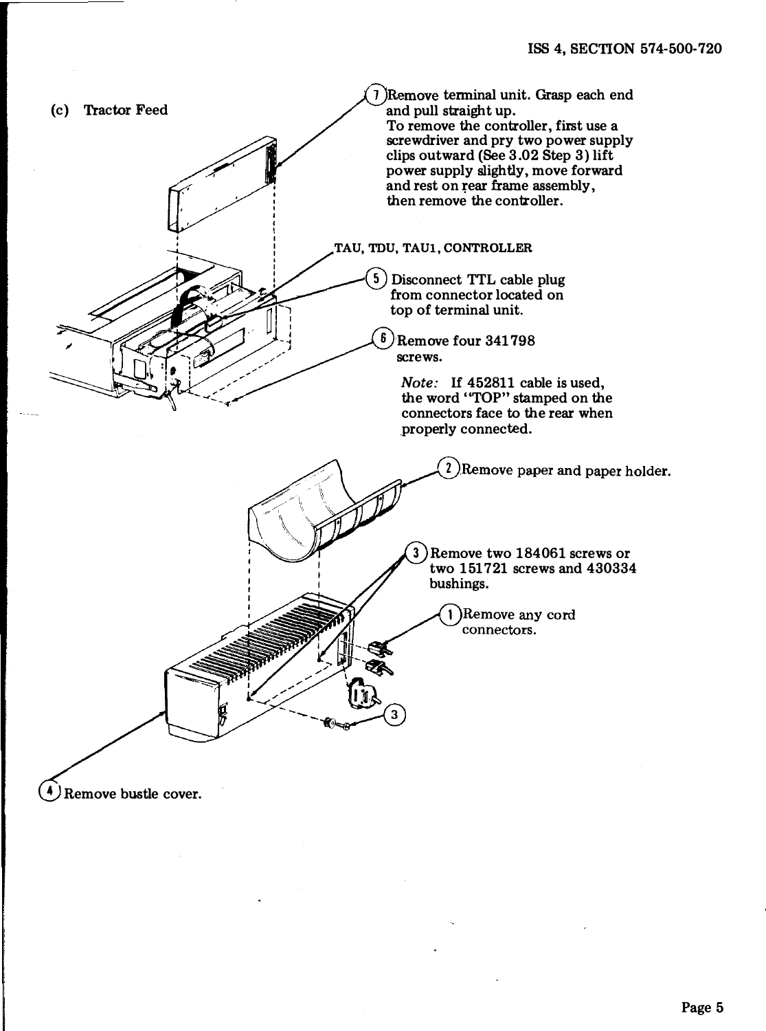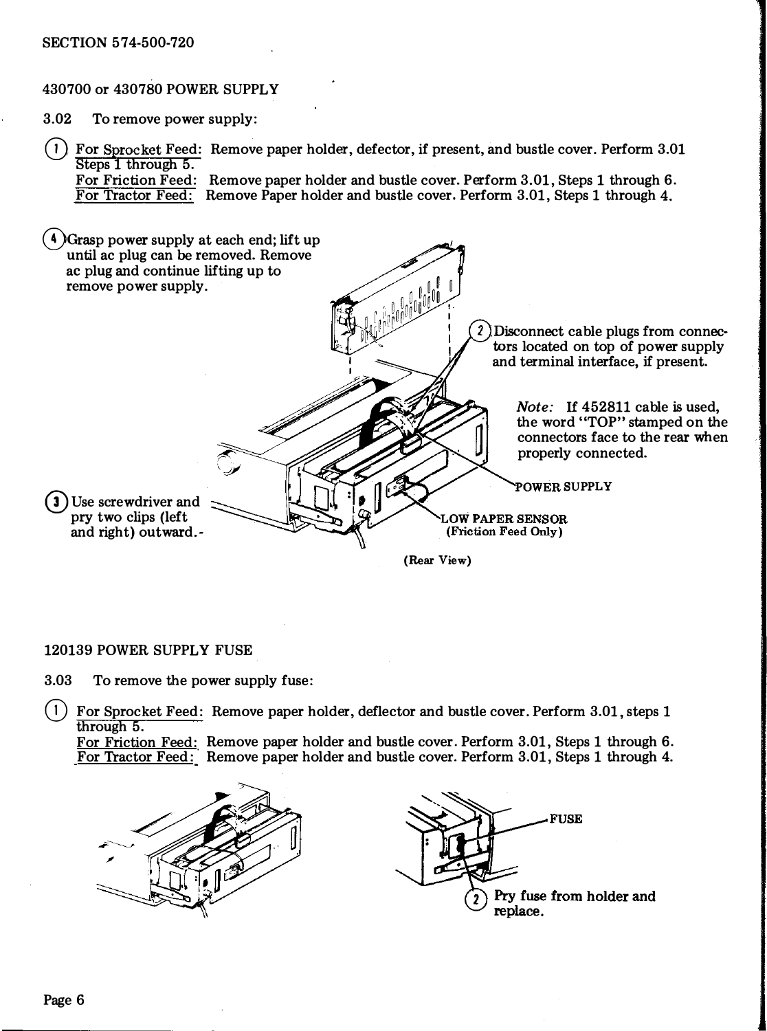### SECTION 574-500-720

## 430700 or 430780 POWER SUPPLY

3.02 To remove power supply:

(D For Sprocket Feed: Remove paper holder, defector, if present, and bustle cover. Perform 3.01 Steps 1 through 5. For Friction Feed: Remove paper holder and bustle cover. Perform 3.01, Steps 1 through 6. For Tractor Feed: Remove Paper holder and bustle cover. Perform 3.01, Steps 1 through 4.

4) Grasp power supply at each end; lift up until ac plug can be removed. Remove ac plug and continue lifting up to remove power supply. Disconnect cable plugs from connectors located on top of power supply and terminal interface, if present. Note: If 452811 cable is used, the word "TOP" stamped on the connectors face to the rear when properly connected. POWER SUPPLY **3** Use screwdriver and pry two clips (left **OW PAPER SENSOR** (Friction Feed Only) and right) outward.- (Rear View)

### 120139 POWER SUPPLY FUSE

3.03 To remove the power supply fuse:

 $(1)$  For Sprocket Feed: Remove paper holder, deflector and bustle cover. Perform 3.01, steps 1 through 5.

For Friction Feed: Remove paper holder and bustle cover. Perform 3.01, Steps 1 through 6. For Tractor Feed: Remove paper holder and bustle cover. Perform 3.01, Steps 1 through 4.



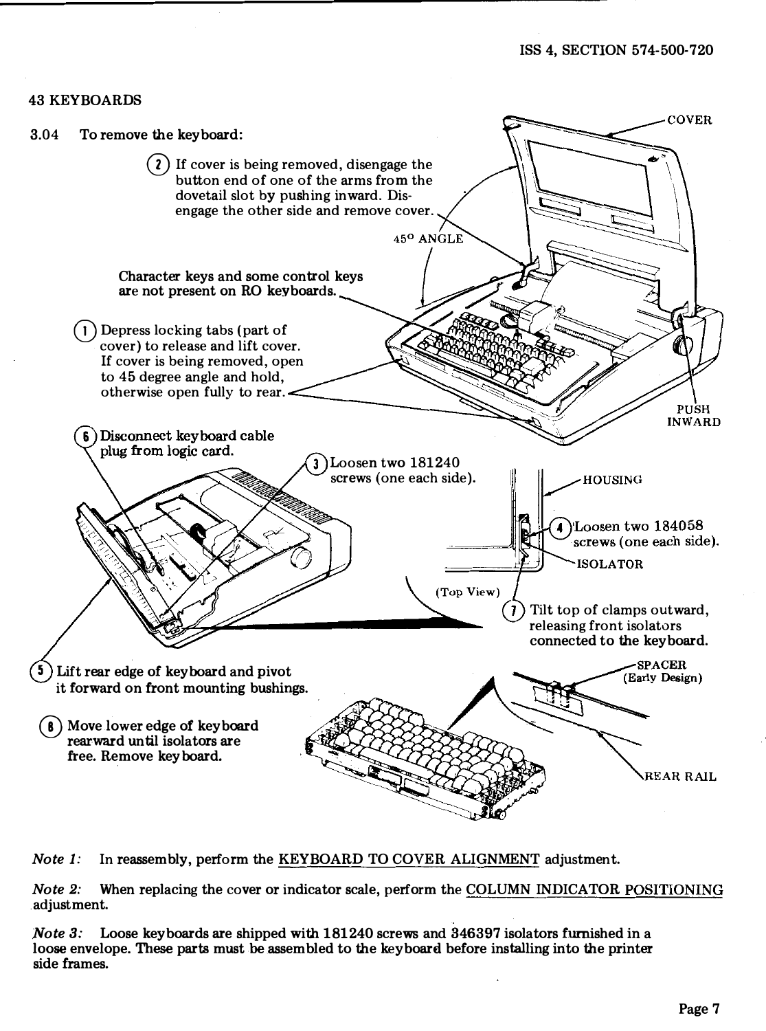### 43 KEYBOARDS



Note 1: In reassembly, perform the KEYBOARD TO COVER ALIGNMENT adjustment.

Note 2: When replacing the cover or indicator scale, perform the COLUMN INDICATOR POSITIONING adjustment.

Note 3: Loose keyboards are shipped with 181240 screws and 346397 isolators furnished in a loose envelope. These parts must be assembled to the keyboard before installing into the printer side frames.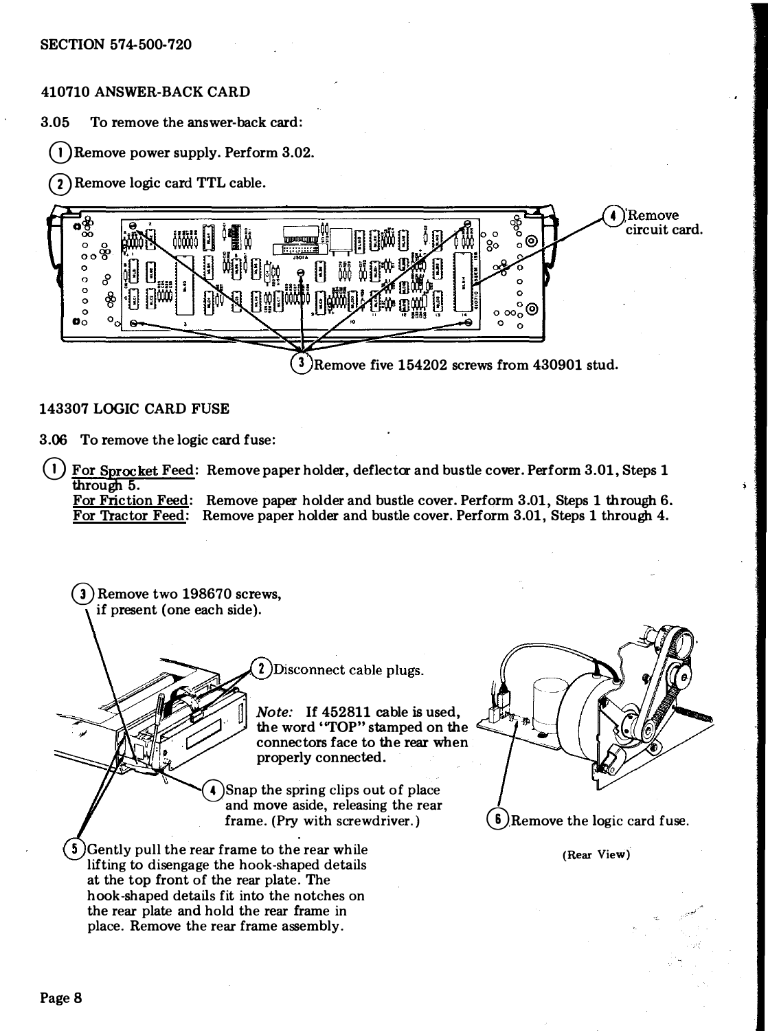# 410710 ANSWER-BACK CARD

3.05 To remove the answer-back card:

 $(1)$ Remove power supply. Perform 3.02.

G) Remove logic card TTL cable.



## 143307 LOGIC CARD FUSE

3.06 To remove the logic card fuse:

For Sprocket Feed: Remove paper holder, deflector and bustle cover. Perform 3.01, Steps 1 through 5.

For Friction Feed: Remove paper holder and bustle cover. Perform 3.01, Steps 1 through 6. For Tractor Feed: Remove paper holder and bustle cover. Perform 3.01, Steps 1 through 4.

3) Remove two 198670 screws. if present (one each side). 2) Disconnect cable plugs. Note: If 452811 cable is used, the word ''TOP" stamped on the connectors face to the rear when properly connected. 4) Snap the spring clips out of place and move aside, releasing the rear frame. (Pry with screwdriver.) **6**) Remove the logic card fuse. 5 Gently pull the rear frame to the rear while (Rear View) lifting to disengage the hook-shaped details at the top front of the rear plate. The hook-shaped details fit into the notches on the rear plate and hold the rear frame in place. Remove the rear frame assembly.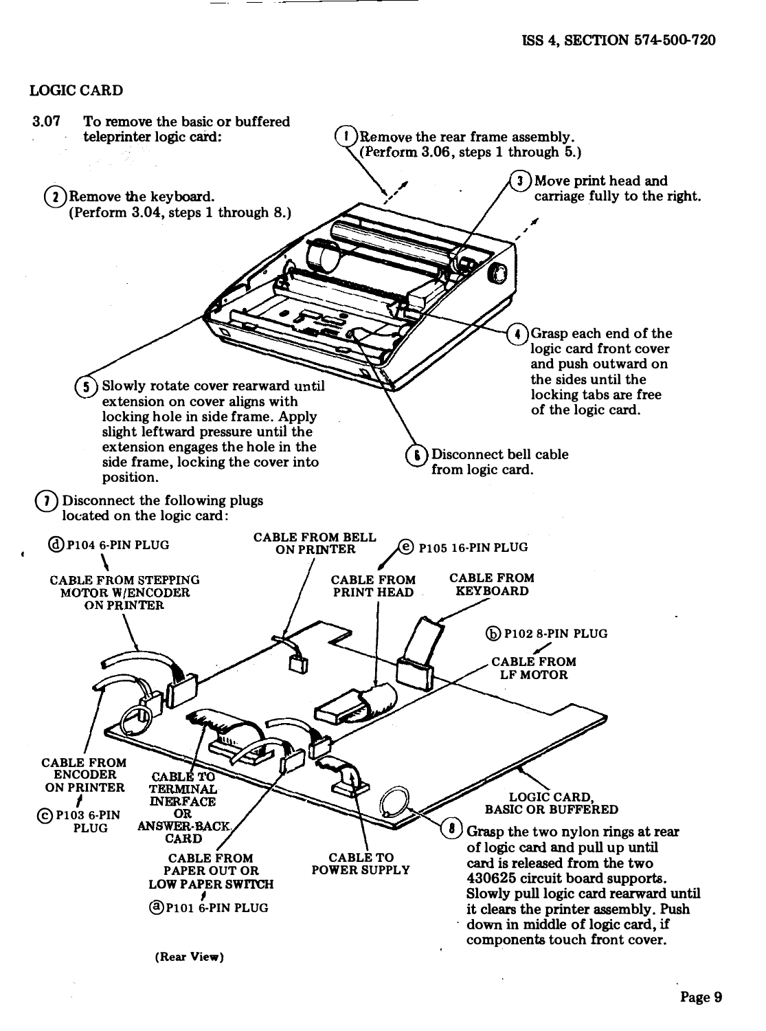### LOGIC CARD

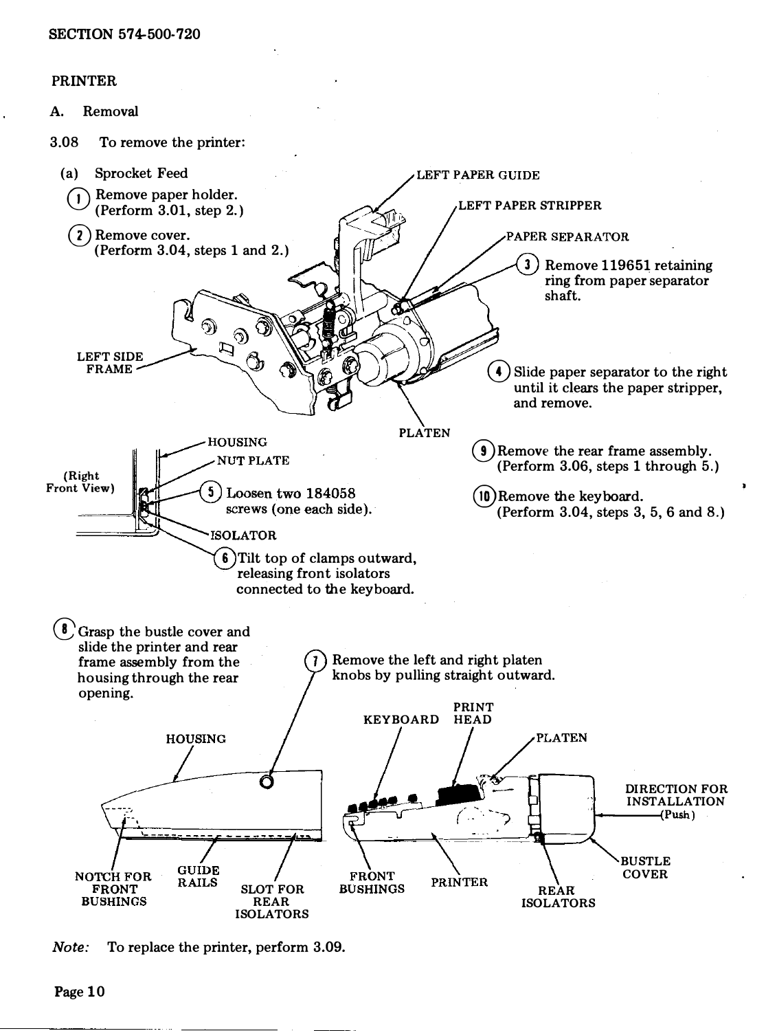# PRINTER

A. Removal

3.08 To remove the printer:



Note: To replace the printer, perform 3.09.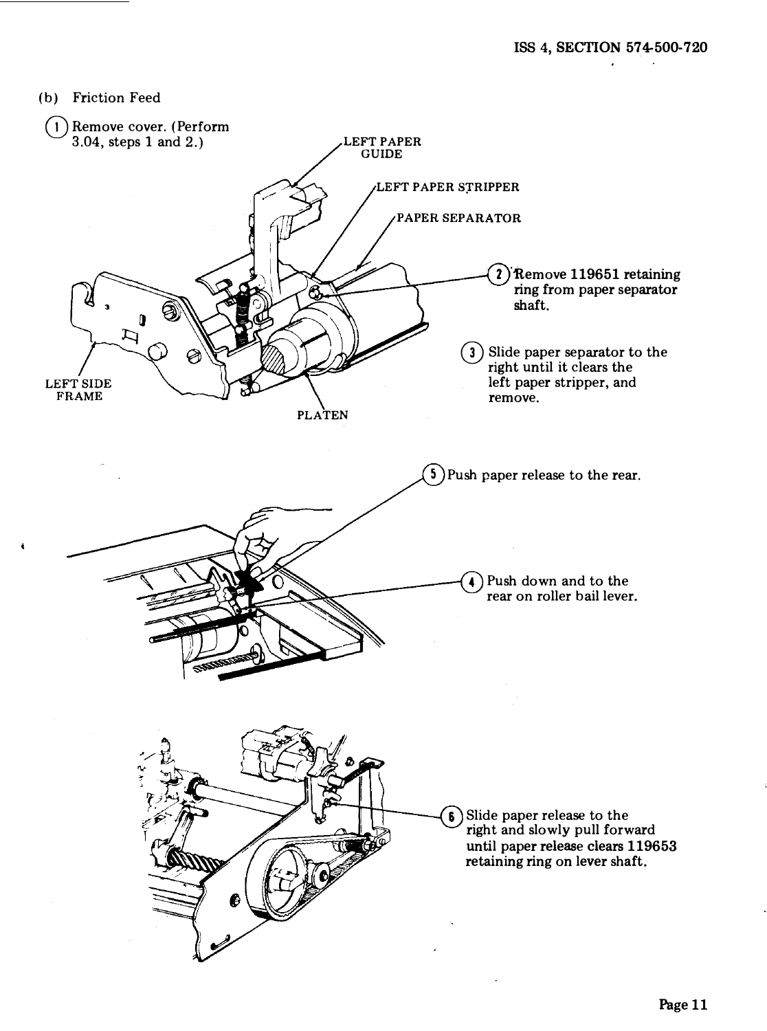(b) Friction Feed

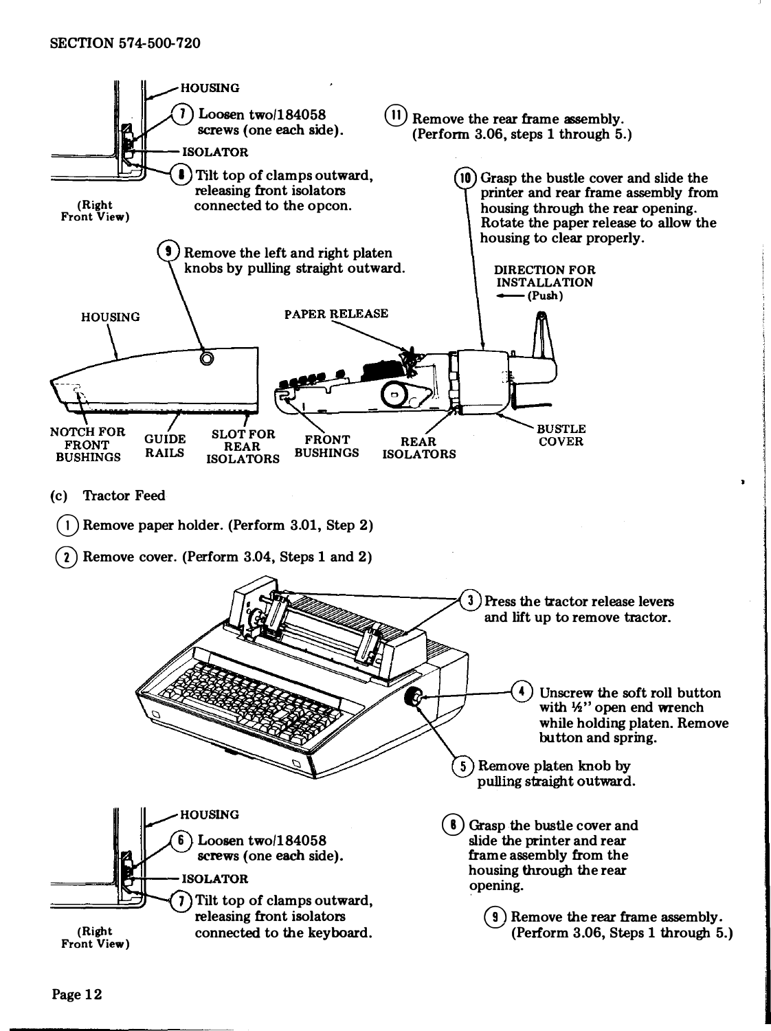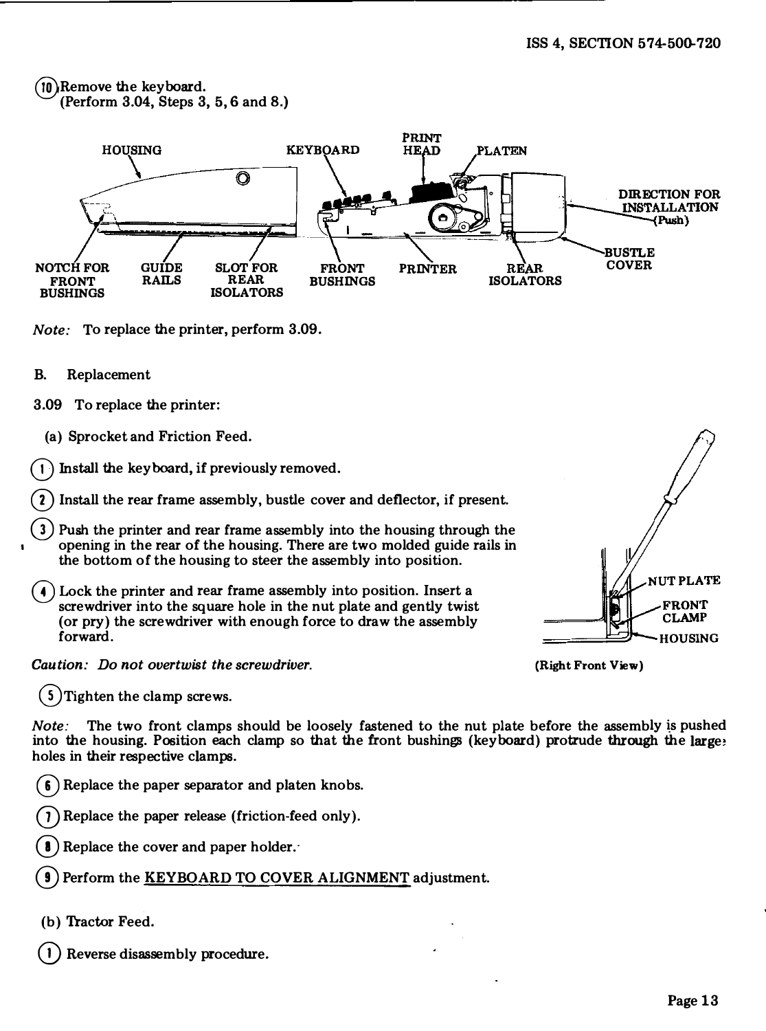## @Remove the keyboard. (Perform 3.04, Steps 3, 5,6 and 8.)



Note: To replace the printer, perform 3.09.

- B. Replacement
- 3.09 To replace the printer:
	- (a) Sprocket and Friction Feed.
- $(1)$  Install the keyboard, if previously removed.
- 2) Install the rear frame assembly, bustle cover and deflector, if present.
- 3) Push the printer and rear frame assembly into the housing through the • opening in the rear of the housing. There are two molded guide rails in the bottom of the housing to steer the assembly into position.
- (e) Lock the printer and rear frame assembly into position. Insert a screwdriver into the square hole in the nut plate and gently twist (or pry) the screwdriver with enough force to draw the assembly forward.

Caution: Do not overtwist the screwdriver.

G) Tighten the clamp screws.

Note: The two front clamps should be loosely fastened to the nut plate before the assembly is pushed into the housing. Position each clamp so that the front bushings (keyboard) protrude through the large! holes in their respective clamps.

 $(6)$  Replace the paper separator and platen knobs.

Replace the paper release (friction-feed only).

Replace the cover and paper holder.

Perform the KEYBOARD TO COVER ALIGNMENT adjustment.

(b) Tractor Feed.

Reverse disassembly procedure.



(Right Front View)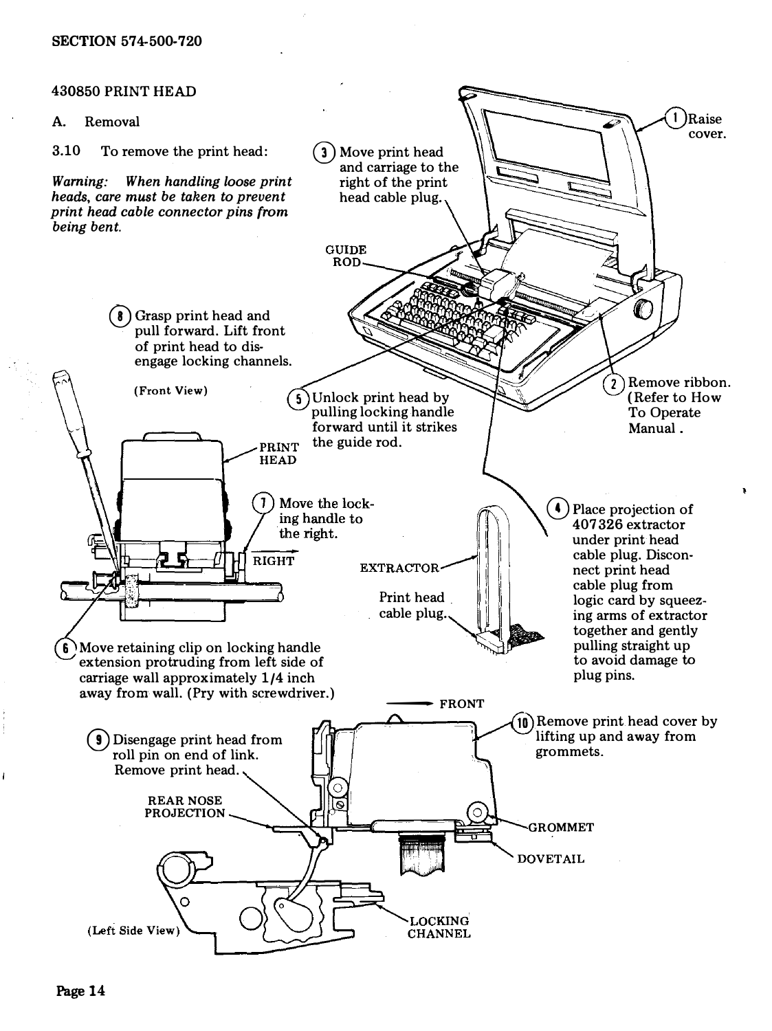### 430850 PRINT HEAD

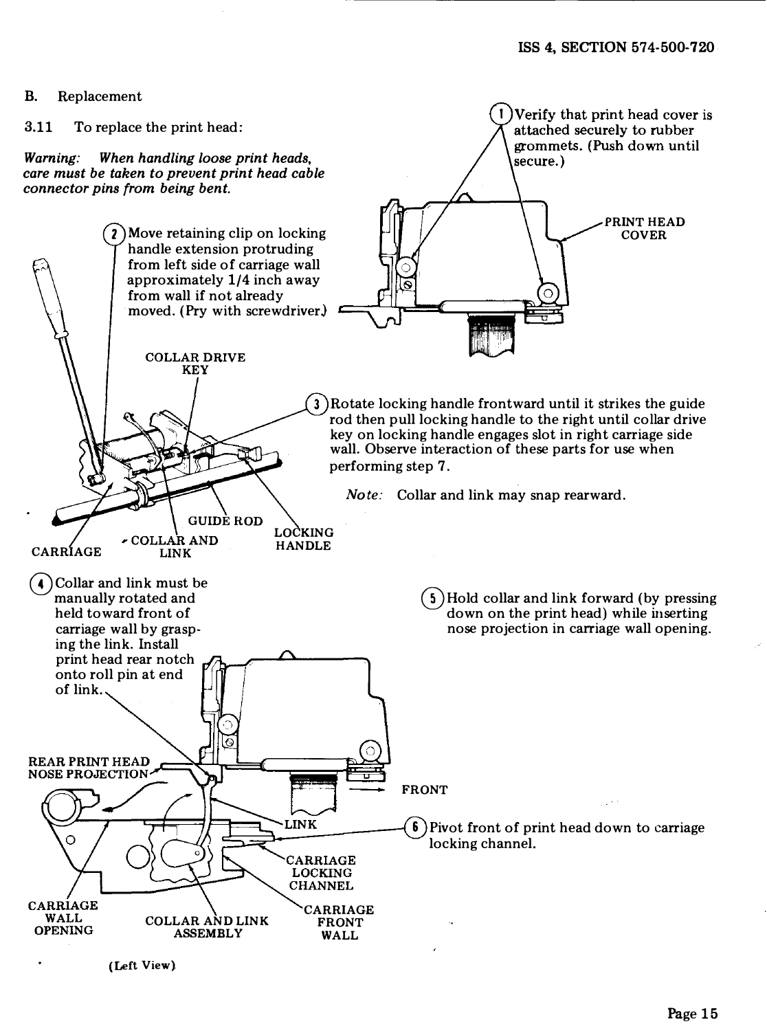Verify that print head cover is attached securely to rubber grommets. (Push down until

t

secure.)

#### B. Replacement

### 3.11 To replace the print head:

Warning: When handling loose print heads, care must be taken to prevent print head cable connector pins {rom being bent.



(Left View}